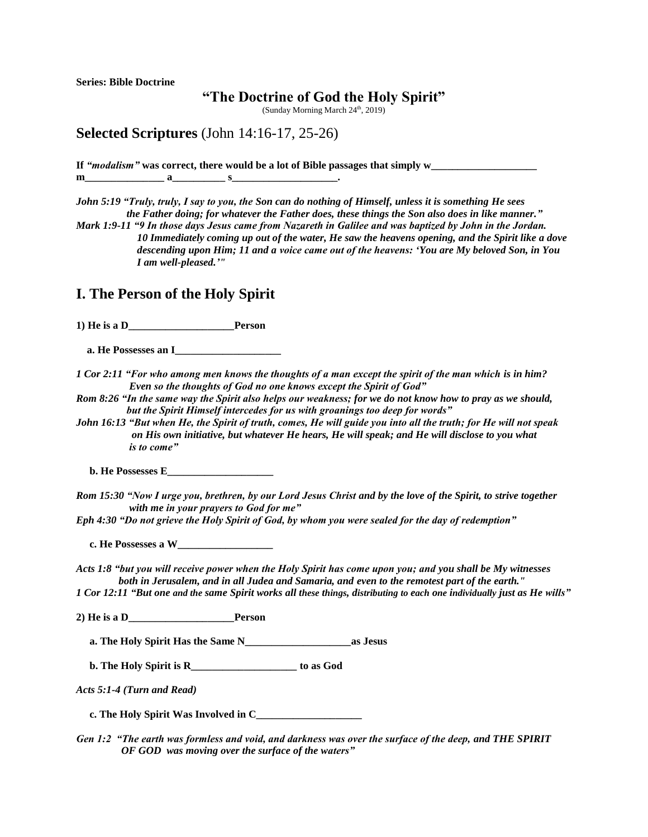**Series: Bible Doctrine**

## **"The Doctrine of God the Holy Spirit"**

(Sunday Morning March 24<sup>th</sup>, 2019)

**Selected Scriptures** (John 14:16-17, 25-26)

**If** *"modalism"* **was correct, there would be a lot of Bible passages that simply w\_\_\_\_\_\_\_\_\_\_\_\_\_\_\_\_\_\_\_\_ m** a s .

*John 5:19 "Truly, truly, I say to you, the Son can do nothing of Himself, unless it is something He sees the Father doing; for whatever the Father does, these things the Son also does in like manner."*

*Mark 1:9-11 "9 In those days Jesus came from Nazareth in Galilee and was baptized by John in the Jordan. 10 Immediately coming up out of the water, He saw the heavens opening, and the Spirit like a dove descending upon Him; 11 and a voice came out of the heavens: 'You are My beloved Son, in You I am well-pleased.'"* 

## **I. The Person of the Holy Spirit**

**1) He is a D\_\_\_\_\_\_\_\_\_\_\_\_\_\_\_\_\_\_\_\_Person**

 **a. He Possesses an I\_\_\_\_\_\_\_\_\_\_\_\_\_\_\_\_\_\_\_\_**

*1 Cor 2:11 "For who among men knows the thoughts of a man except the spirit of the man which is in him? Even so the thoughts of God no one knows except the Spirit of God"*

*Rom 8:26 "In the same way the Spirit also helps our weakness; for we do not know how to pray as we should, but the Spirit Himself intercedes for us with groanings too deep for words"* 

*John 16:13 "But when He, the Spirit of truth, comes, He will guide you into all the truth; for He will not speak on His own initiative, but whatever He hears, He will speak; and He will disclose to you what is to come"* 

 **b. He Possesses E\_\_\_\_\_\_\_\_\_\_\_\_\_\_\_\_\_\_\_\_**

*Rom 15:30 "Now I urge you, brethren, by our Lord Jesus Christ and by the love of the Spirit, to strive together with me in your prayers to God for me"* 

*Eph 4:30 "Do not grieve the Holy Spirit of God, by whom you were sealed for the day of redemption"* 

 **c. He Possesses a W\_\_\_\_\_\_\_\_\_\_\_\_\_\_\_\_\_\_**

*Acts 1:8 "but you will receive power when the Holy Spirit has come upon you; and you shall be My witnesses both in Jerusalem, and in all Judea and Samaria, and even to the remotest part of the earth."* 1 Cor 12:11 "But one and the same Spirit works all these things, distributing to each one individually just as He wills"

**2) He is a D\_\_\_\_\_\_\_\_\_\_\_\_\_\_\_\_\_\_\_\_Person**

 **a. The Holy Spirit Has the Same N\_\_\_\_\_\_\_\_\_\_\_\_\_\_\_\_\_\_\_\_as Jesus**

**b. The Holy Spirit is R to as God** 

*Acts 5:1-4 (Turn and Read)* 

 **c. The Holy Spirit Was Involved in C\_\_\_\_\_\_\_\_\_\_\_\_\_\_\_\_\_\_\_\_**

*Gen 1:2 "The earth was formless and void, and darkness was over the surface of the deep, and THE SPIRIT OF GOD was moving over the surface of the waters"*